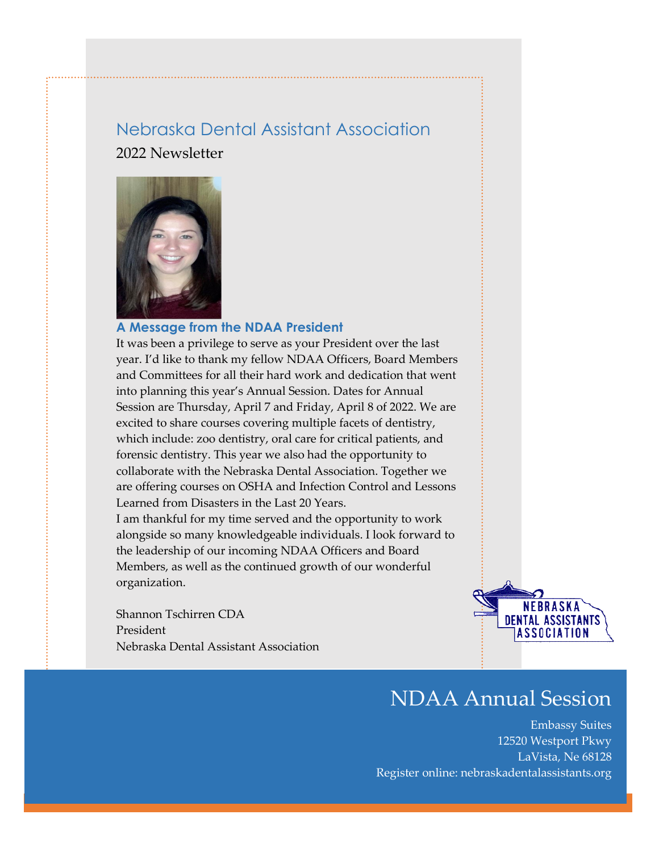## Nebraska Dental Assistant Association 2022 Newsletter



#### **A Message from the NDAA President**

It was been a privilege to serve as your President over the last year. I'd like to thank my fellow NDAA Officers, Board Members and Committees for all their hard work and dedication that went into planning this year's Annual Session. Dates for Annual Session are Thursday, April 7 and Friday, April 8 of 2022. We are excited to share courses covering multiple facets of dentistry, which include: zoo dentistry, oral care for critical patients, and forensic dentistry. This year we also had the opportunity to collaborate with the Nebraska Dental Association. Together we are offering courses on OSHA and Infection Control and Lessons Learned from Disasters in the Last 20 Years.

I am thankful for my time served and the opportunity to work alongside so many knowledgeable individuals. I look forward to the leadership of our incoming NDAA Officers and Board Members, as well as the continued growth of our wonderful organization.

Shannon Tschirren CDA President Nebraska Dental Assistant Association



# NDAA Annual Session

Embassy Suites 12520 Westport Pkwy LaVista, Ne 68128 Register online: nebraskadentalassistants.org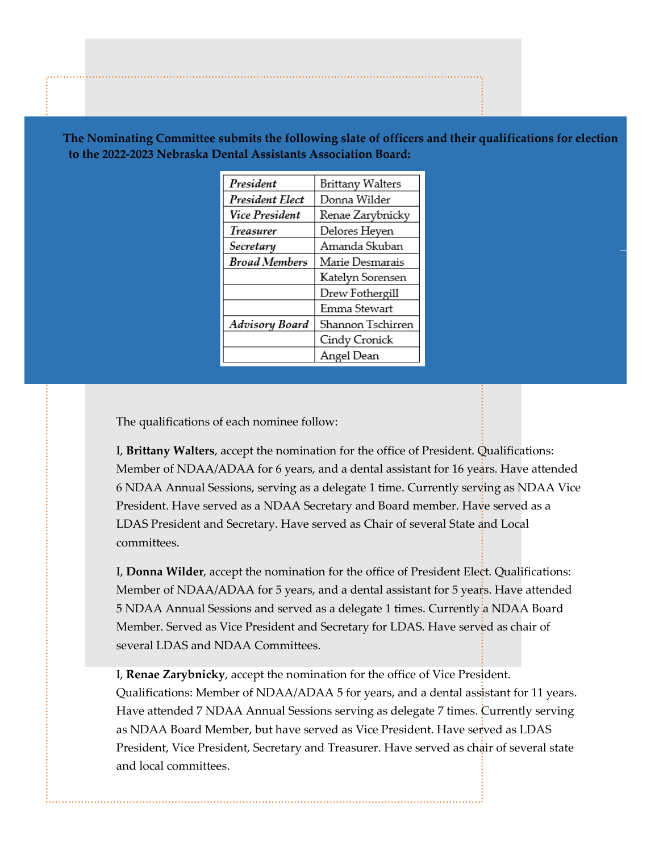| President              | Brittany Walters  |
|------------------------|-------------------|
| <b>President Elect</b> | Donna Wilder      |
| <b>Vice President</b>  | Renae Zarybnicky  |
| Treasurer              | Delores Heyen     |
| Secretary              | Amanda Skuban     |
| <b>Broad Members</b>   | Marie Desmarais   |
|                        | Katelyn Sorensen  |
|                        | Drew Fothergill   |
|                        | Emma Stewart      |
| Advisory Board         | Shannon Tschirren |
|                        | Cindy Cronick     |
|                        | Angel Dean        |

**The Nominating Committee submits the following slate of officers and their qualifications for election to the 2022-2023 Nebraska Dental Assistants Association Board:**

The qualifications of each nominee follow:

I, **Brittany Walters**, accept the nomination for the office of President. Qualifications: Member of NDAA/ADAA for 6 years, and a dental assistant for 16 years. Have attended 6 NDAA Annual Sessions, serving as a delegate 1 time. Currently serving as NDAA Vice President. Have served as a NDAA Secretary and Board member. Have served as a LDAS President and Secretary. Have served as Chair of several State and Local committees.

I, **Donna Wilder**, accept the nomination for the office of President Elect. Qualifications: Member of NDAA/ADAA for 5 years, and a dental assistant for 5 years. Have attended 5 NDAA Annual Sessions and served as a delegate 1 times. Currently a NDAA Board Member. Served as Vice President and Secretary for LDAS. Have served as chair of several LDAS and NDAA Committees.

I, **Renae Zarybnicky**, accept the nomination for the office of Vice President. Qualifications: Member of NDAA/ADAA 5 for years, and a dental assistant for 11 years. Have attended 7 NDAA Annual Sessions serving as delegate 7 times. Currently serving as NDAA Board Member, but have served as Vice President. Have served as LDAS President, Vice President, Secretary and Treasurer. Have served as chair of several state and local committees.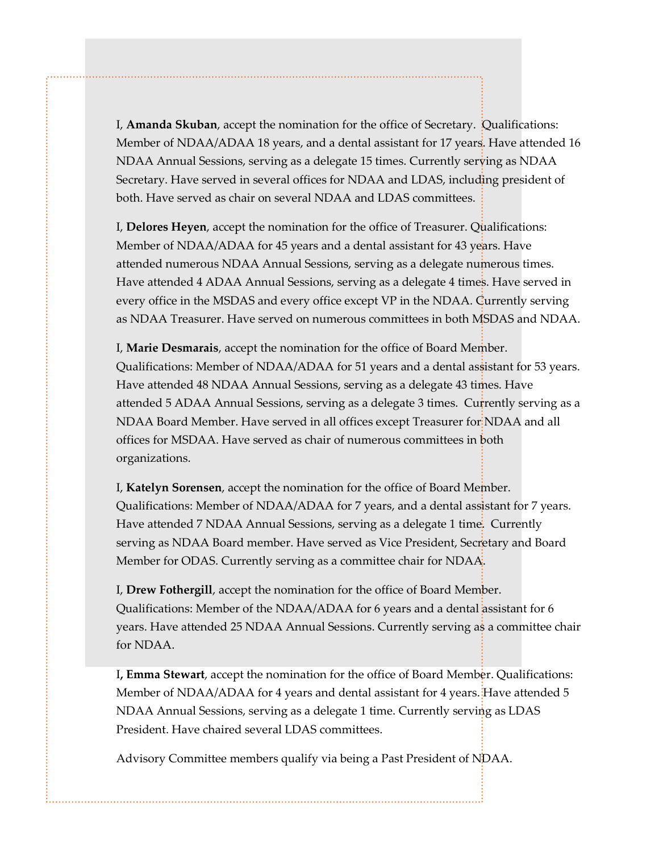I, **Amanda Skuban**, accept the nomination for the office of Secretary. Qualifications: Member of NDAA/ADAA 18 years, and a dental assistant for 17 years. Have attended 16 NDAA Annual Sessions, serving as a delegate 15 times. Currently serving as NDAA Secretary. Have served in several offices for NDAA and LDAS, including president of both. Have served as chair on several NDAA and LDAS committees.

I, **Delores Heyen**, accept the nomination for the office of Treasurer. Qualifications: Member of NDAA/ADAA for 45 years and a dental assistant for 43 years. Have attended numerous NDAA Annual Sessions, serving as a delegate numerous times. Have attended 4 ADAA Annual Sessions, serving as a delegate 4 times. Have served in every office in the MSDAS and every office except VP in the NDAA. Currently serving as NDAA Treasurer. Have served on numerous committees in both MSDAS and NDAA.

I, **Marie Desmarais**, accept the nomination for the office of Board Member. Qualifications: Member of NDAA/ADAA for 51 years and a dental assistant for 53 years. Have attended 48 NDAA Annual Sessions, serving as a delegate 43 times. Have attended 5 ADAA Annual Sessions, serving as a delegate 3 times. Currently serving as a NDAA Board Member. Have served in all offices except Treasurer for NDAA and all offices for MSDAA. Have served as chair of numerous committees in both organizations.

I, **Katelyn Sorensen**, accept the nomination for the office of Board Member. Qualifications: Member of NDAA/ADAA for 7 years, and a dental assistant for 7 years. Have attended 7 NDAA Annual Sessions, serving as a delegate 1 time. Currently serving as NDAA Board member. Have served as Vice President, Secretary and Board Member for ODAS. Currently serving as a committee chair for NDAA.

I, **Drew Fothergill**, accept the nomination for the office of Board Member. Qualifications: Member of the NDAA/ADAA for 6 years and a dental assistant for 6 years. Have attended 25 NDAA Annual Sessions. Currently serving as a committee chair for NDAA.

I**, Emma Stewart**, accept the nomination for the office of Board Member. Qualifications: Member of NDAA/ADAA for 4 years and dental assistant for 4 years. Have attended 5 NDAA Annual Sessions, serving as a delegate 1 time. Currently serving as LDAS President. Have chaired several LDAS committees.

Advisory Committee members qualify via being a Past President of NDAA.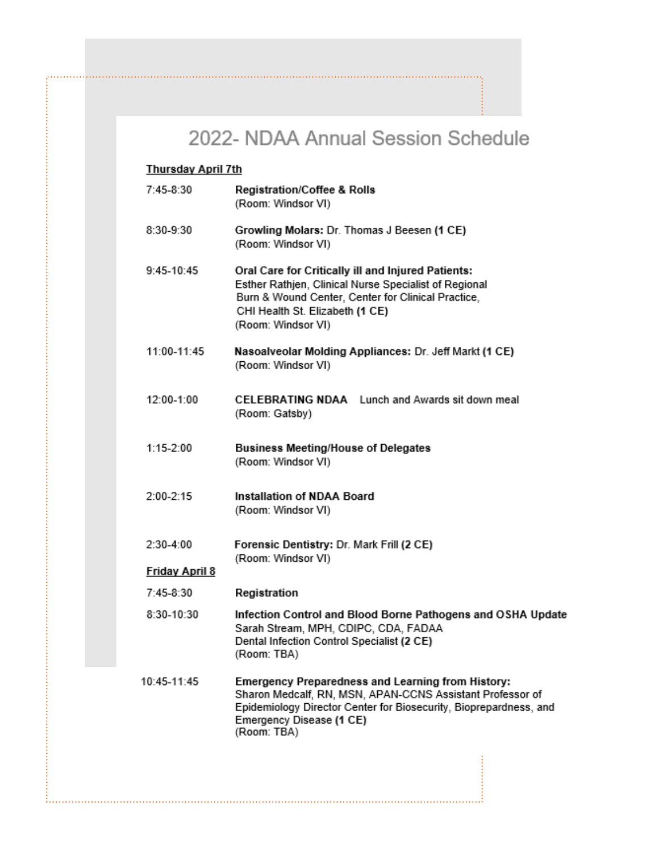## 2022- NDAA Annual Session Schedule

### **Thursday April 7th**

| 7:45-8:30             | <b>Registration/Coffee &amp; Rolls</b><br>(Room: Windsor VI)                                                                                                                                                                          |
|-----------------------|---------------------------------------------------------------------------------------------------------------------------------------------------------------------------------------------------------------------------------------|
| 8:30-9:30             | Growling Molars: Dr. Thomas J Beesen (1 CE)<br>(Room: Windsor VI)                                                                                                                                                                     |
| $9:45-10:45$          | Oral Care for Critically ill and Injured Patients:<br>Esther Rathjen, Clinical Nurse Specialist of Regional<br>Burn & Wound Center, Center for Clinical Practice,<br>CHI Health St. Elizabeth (1 CE)<br>(Room: Windsor VI)            |
| 11:00-11:45           | Nasoalveolar Molding Appliances: Dr. Jeff Markt (1 CE)<br>(Room: Windsor VI)                                                                                                                                                          |
| 12:00-1:00            | CELEBRATING NDAA Lunch and Awards sit down meal<br>(Room: Gatsby)                                                                                                                                                                     |
| $1:15-2:00$           | <b>Business Meeting/House of Delegates</b><br>(Room: Windsor VI)                                                                                                                                                                      |
| $2:00 - 2:15$         | Installation of NDAA Board<br>(Room: Windsor VI)                                                                                                                                                                                      |
| $2:30-4:00$           | Forensic Dentistry: Dr. Mark Frill (2 CE)<br>(Room: Windsor VI)                                                                                                                                                                       |
| <b>Friday April 8</b> |                                                                                                                                                                                                                                       |
| 7:45-8:30             | Registration                                                                                                                                                                                                                          |
| 8:30-10:30            | Infection Control and Blood Borne Pathogens and OSHA Update<br>Sarah Stream, MPH, CDIPC, CDA, FADAA<br>Dental Infection Control Specialist (2 CE)<br>(Room: TBA)                                                                      |
| 10:45-11:45           | <b>Emergency Preparedness and Learning from History:</b><br>Sharon Medcalf, RN, MSN, APAN-CCNS Assistant Professor of<br>Epidemiology Director Center for Biosecurity, Bioprepardness, and<br>Emergency Disease (1 CE)<br>(Room: TBA) |
|                       |                                                                                                                                                                                                                                       |